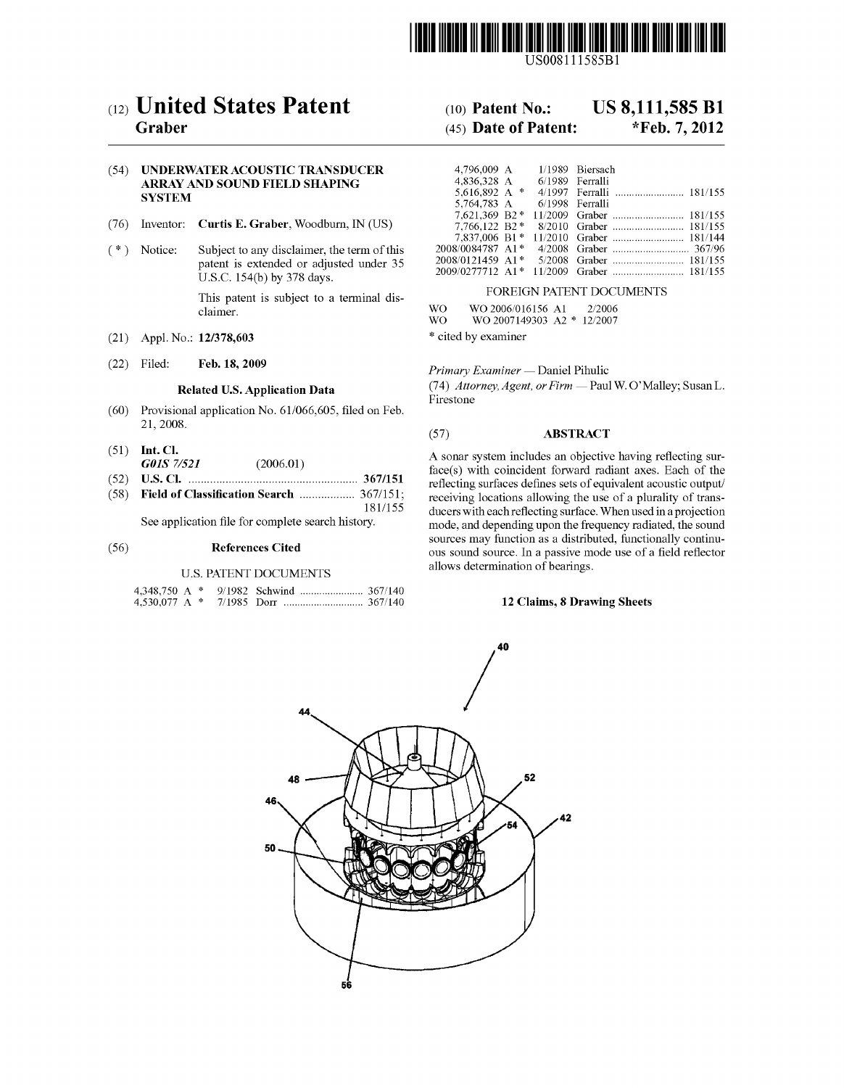

US008111585B1

# (12) United States Patent

# Graber

#### (54) UNDERWATERACOUSTIC TRANSDUCER ARRAY AND SOUND FIELD SHAPING **SYSTEM**

- (76) Inventor: Curtis E. Graber, Woodburn, IN (US)
- (\*) Notice: Subject to any disclaimer, the term of this patent is extended or adjusted under 35 U.S.C. 154(b) by 378 days. This patent is subject to a terminal dis-
- (21) Appl. No.: 12/378,603
- (22) Filed: Feb. 18, 2009

claimer.

#### Related U.S. Application Data

- (60) Provisional application No. 61/066,605, filed on Feb. 21, 2008.
- (51) Int. Cl. G01S 7/521 (2006.01)
- (52) U.S. Cl. ....................................................... 367/151
- (58) Field of Classification Search .................. 367/151: 181/155

See application file for complete search history.

#### (56) References Cited

#### U.S. PATENT DOCUMENTS

#### US 8,111,585 B1 (10) Patent No.:

#### \*Feb. 7, 2012 (45) Date of Patent:

| 4,796,009 A 1/1989 Biersach    |  |                 |                         |  |  |  |  |
|--------------------------------|--|-----------------|-------------------------|--|--|--|--|
| 4.836.328 A                    |  | 6/1989 Ferralli |                         |  |  |  |  |
| 5.616.892 A $*$                |  | 4/1997          |                         |  |  |  |  |
| 5,764,783 A                    |  | 6/1998          | Ferralli                |  |  |  |  |
| 7.621.369 B2*                  |  |                 |                         |  |  |  |  |
| 7.766.122 B2*                  |  |                 |                         |  |  |  |  |
| 7,837,006 B1*                  |  |                 |                         |  |  |  |  |
| 2008/0084787 A1*               |  |                 |                         |  |  |  |  |
| $2008/0121459$ A1 <sup>*</sup> |  |                 |                         |  |  |  |  |
| 2009/0277712 A1*               |  |                 | 11/2009 Graber  181/155 |  |  |  |  |
| FOREIGN PATENT DOCUMENTS       |  |                 |                         |  |  |  |  |

WO WO 2006/016156 A1 2/2006<br>WO WO 2007149303 A2 \* 12/2007 WO WO 2007 1493O3 A2 \* 12/2007

\* cited by examiner

Primary Examiner — Daniel Pihulic

(74) Attorney, Agent, or Firm — Paul W. O'Malley; Susan L. Firestone

#### (57) ABSTRACT

A sonar system includes an objective having reflecting surface(s) with coincident forward radiant axes. Each of the reflecting surfaces defines sets of equivalent acoustic output/ receiving locations allowing the use of a plurality of trans ducers with each reflecting surface. When used in a projection mode, and depending upon the frequency radiated, the sound sources may function as a distributed, functionally continu ous sound source. In a passive mode use of a field reflector allows determination of bearings.

#### 12 Claims, 8 Drawing Sheets

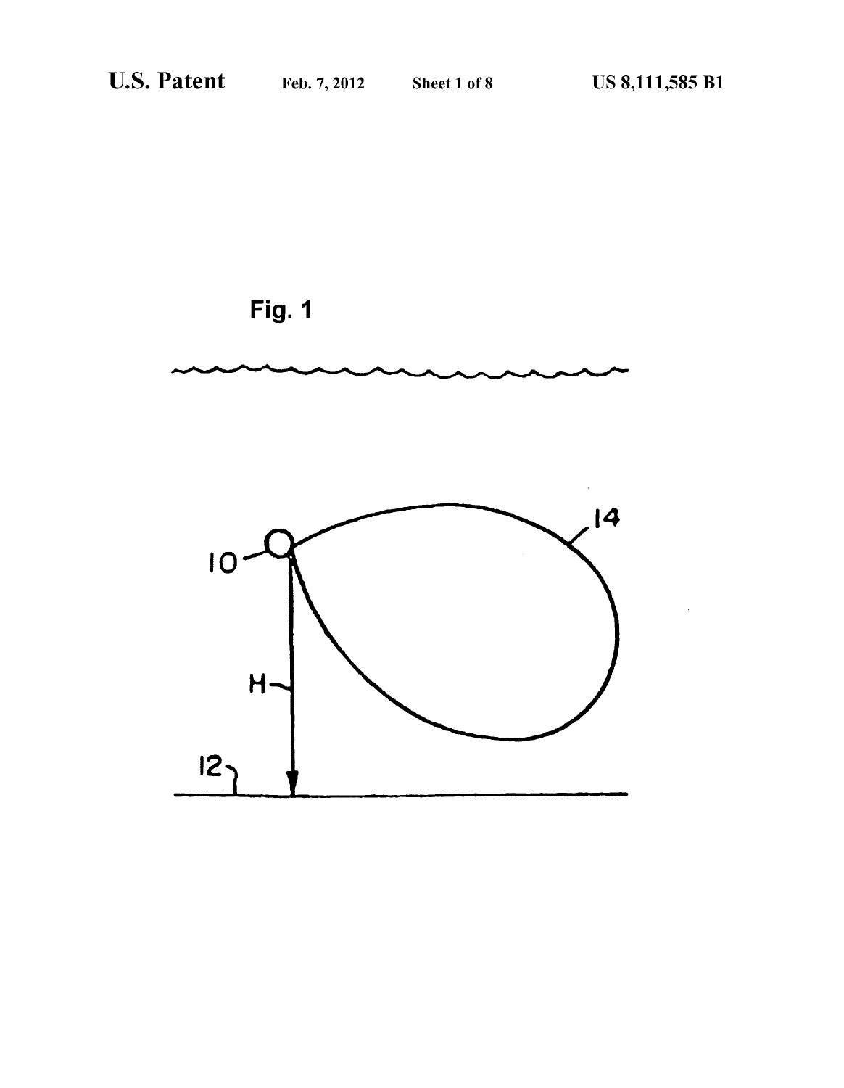

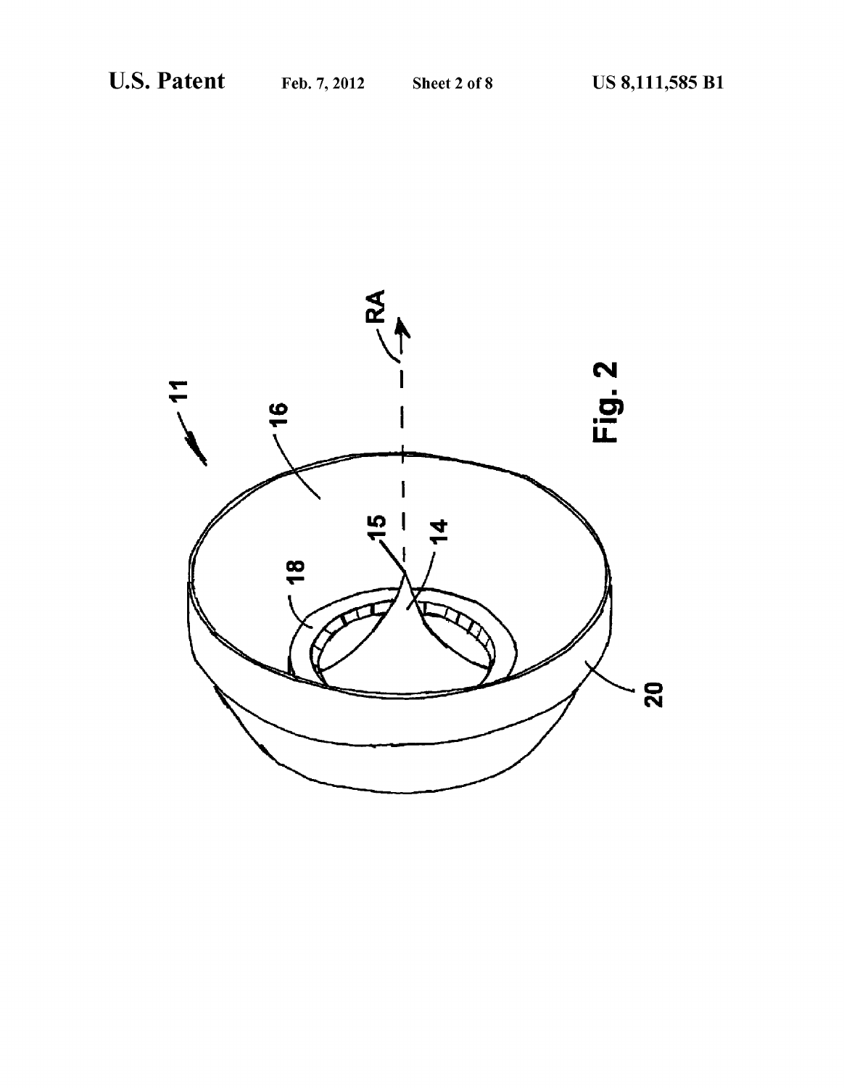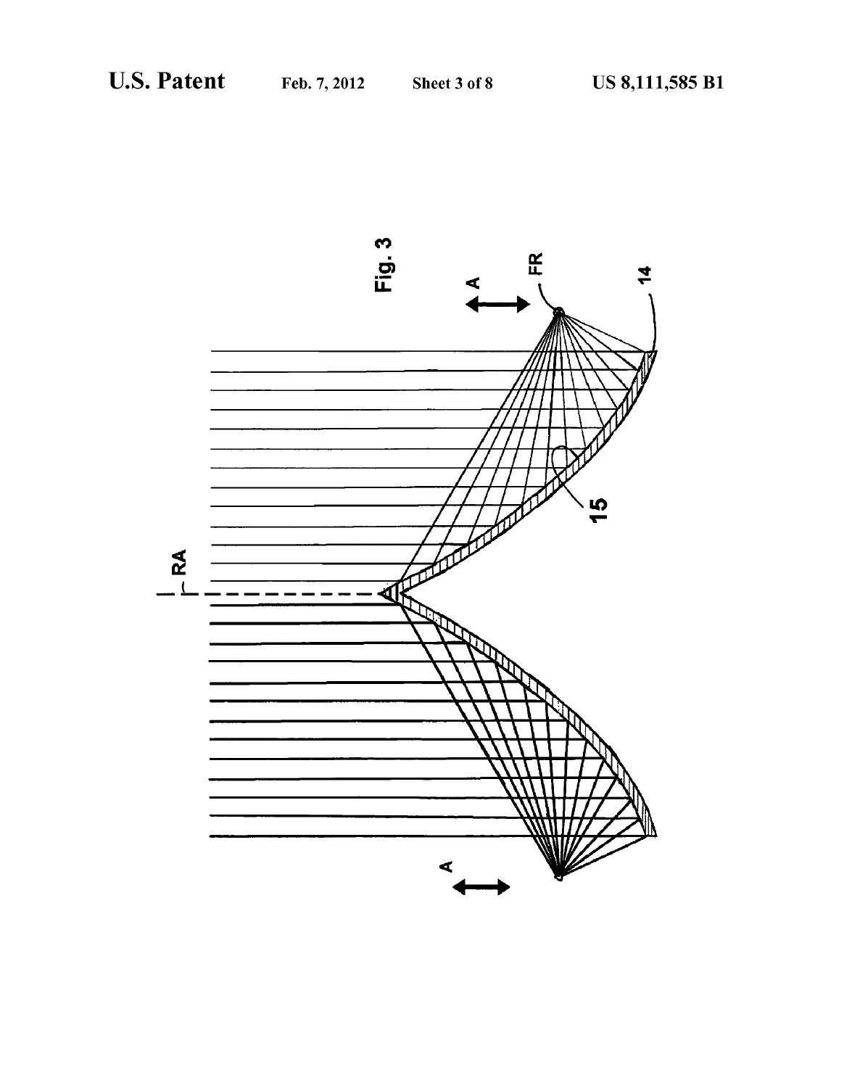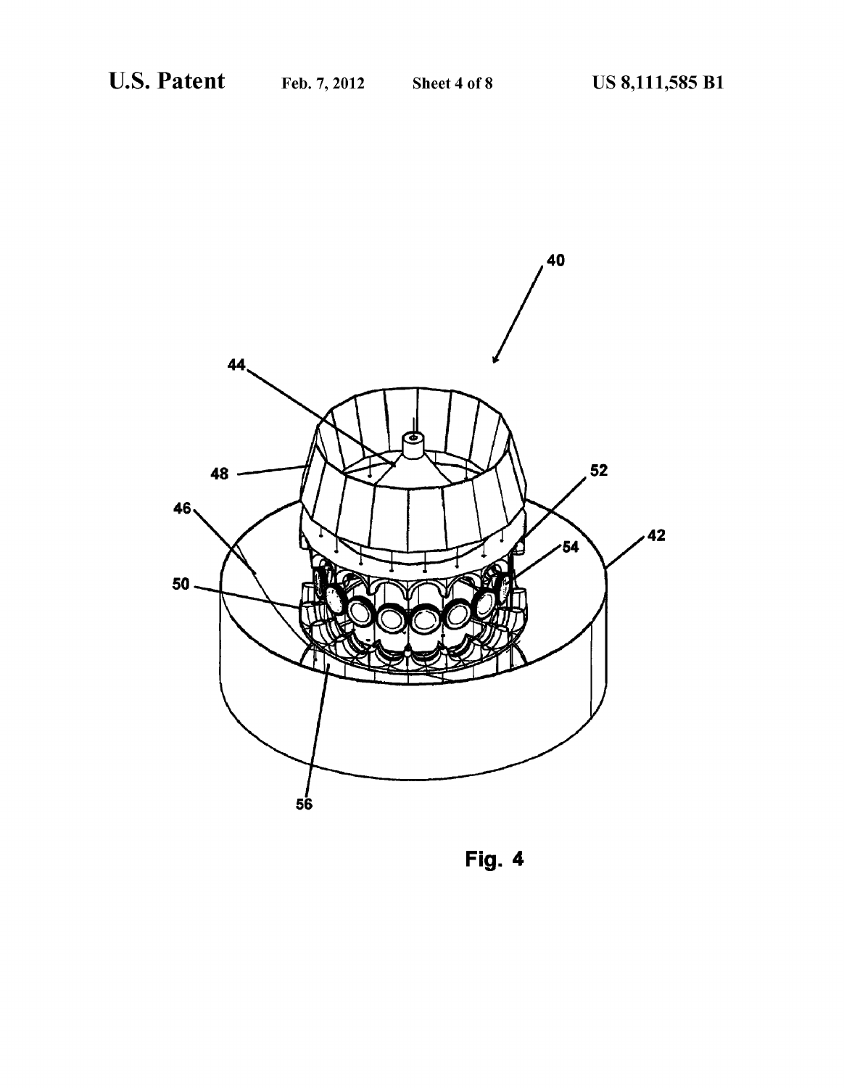

Fig. 4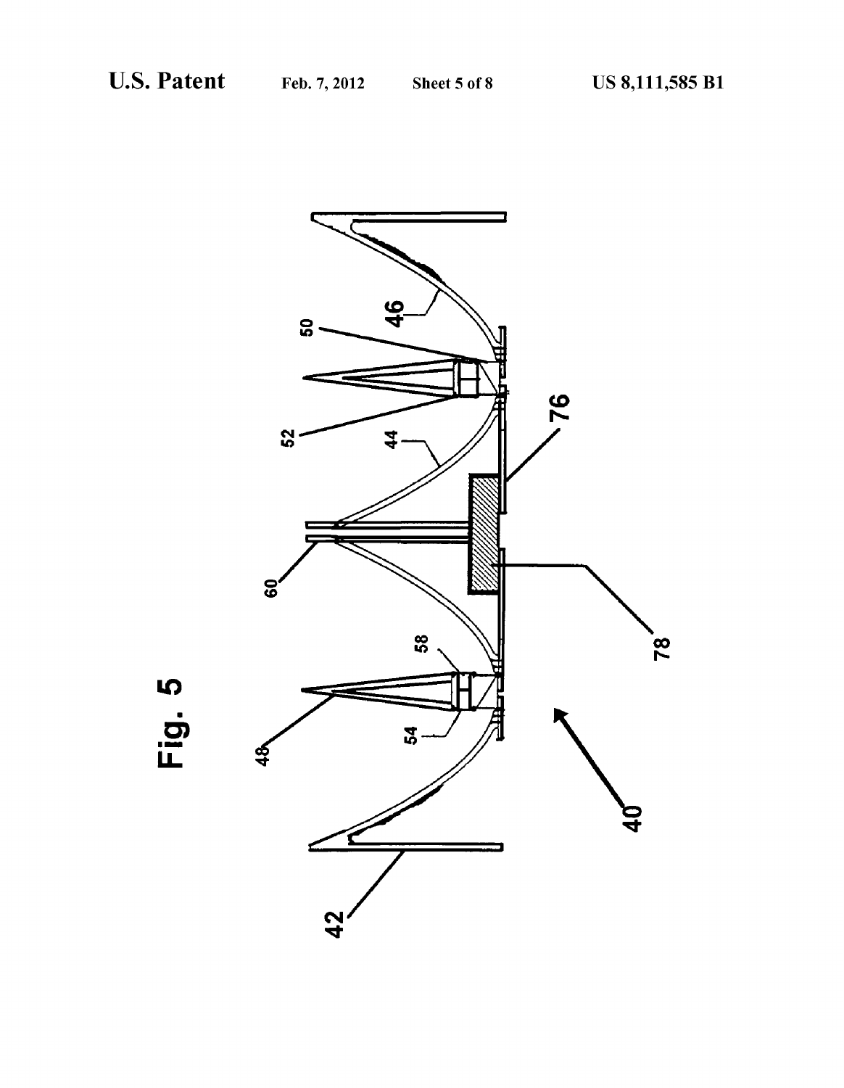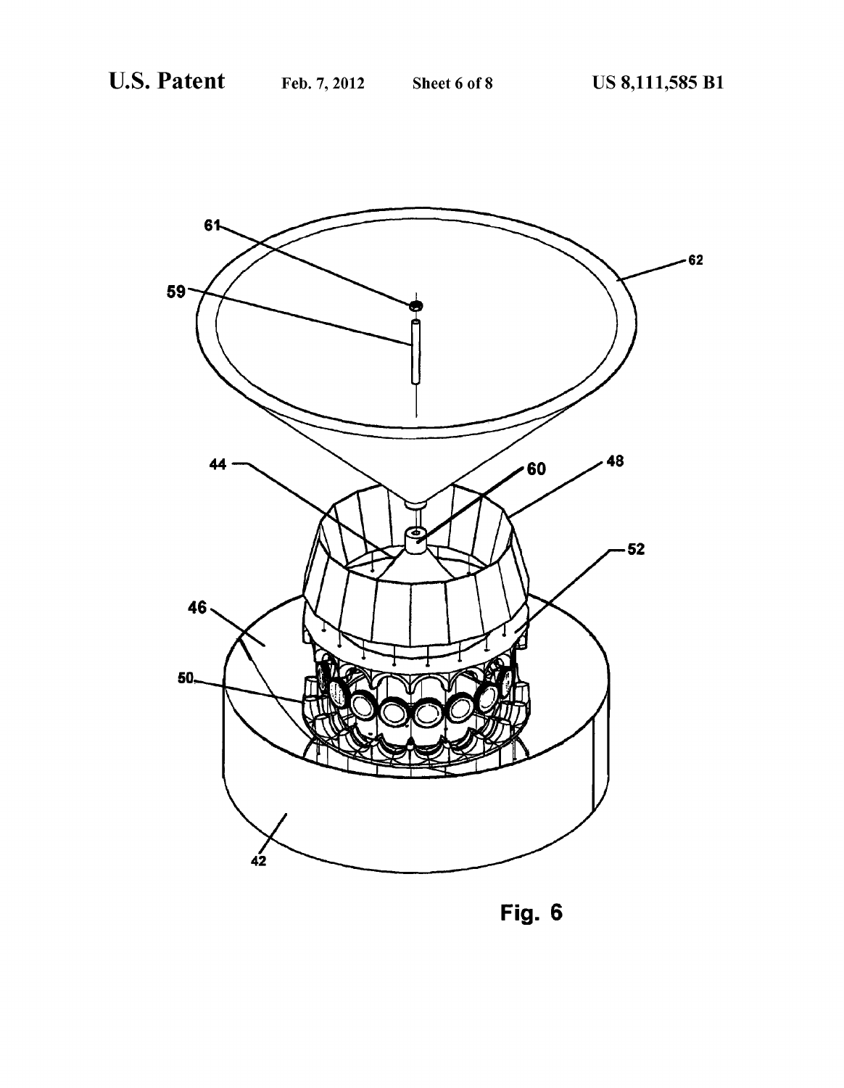

Fig. 6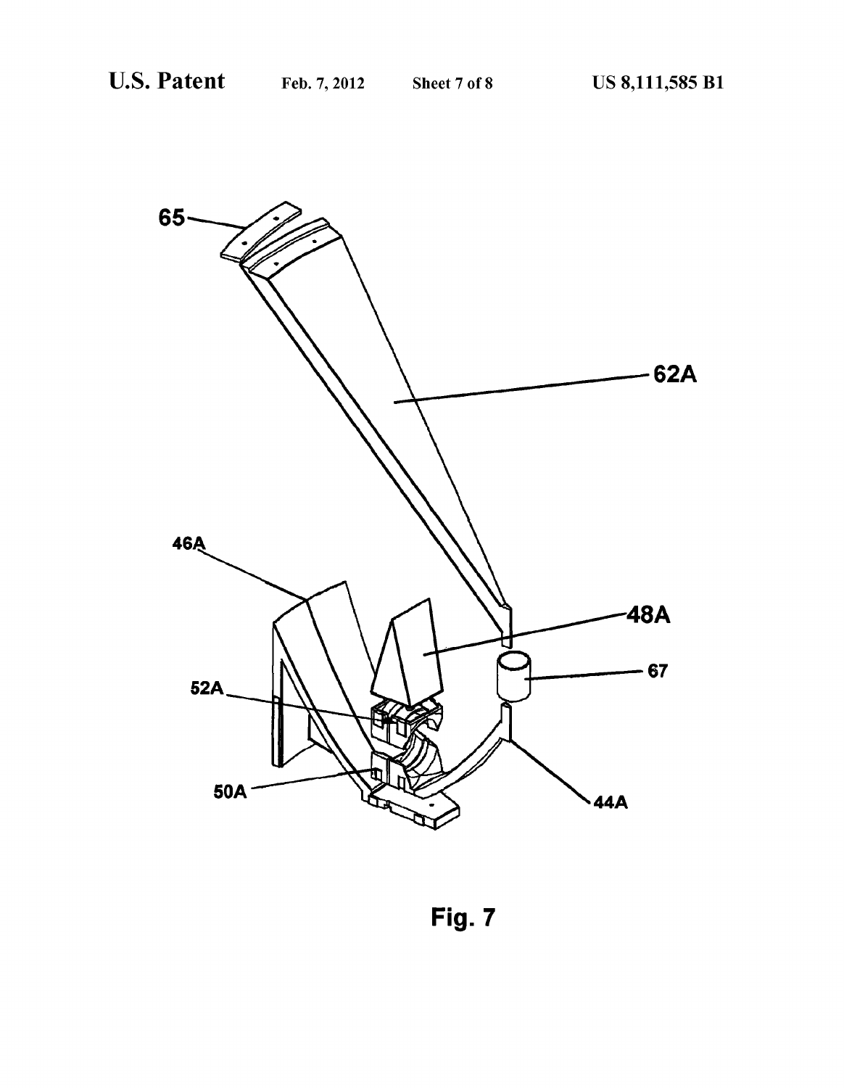

Fig. 7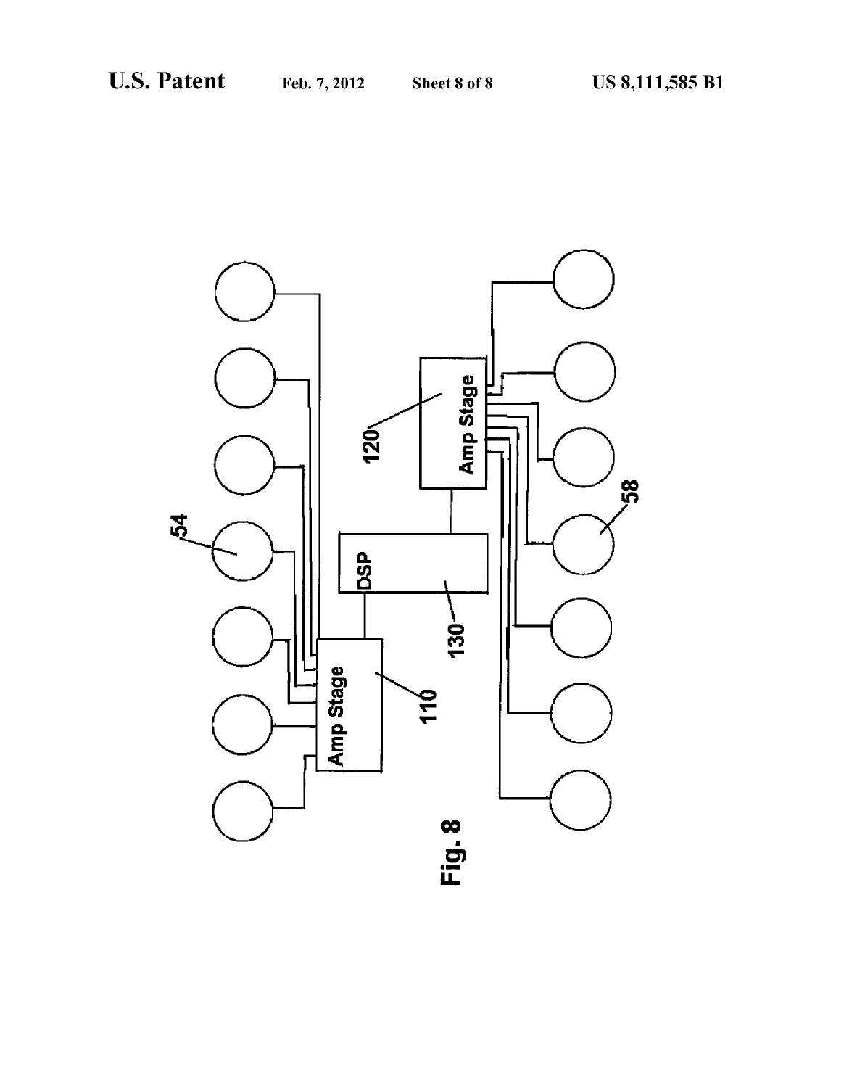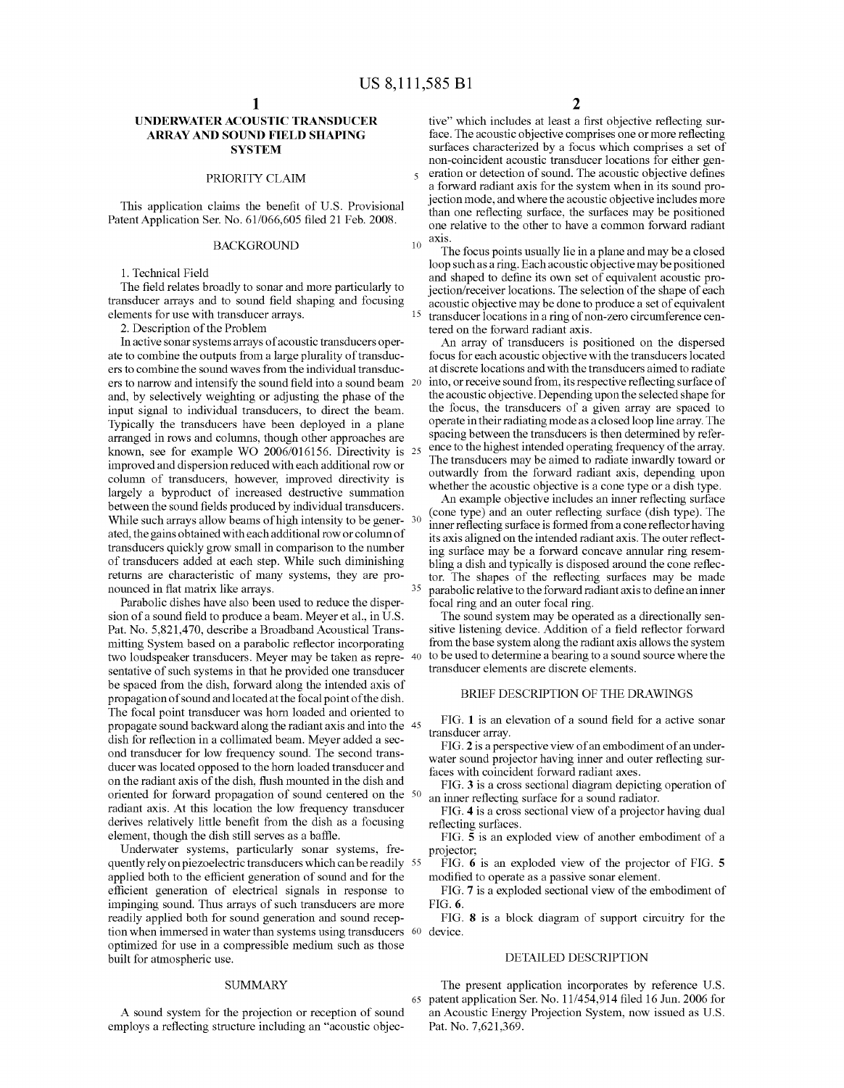10

 $\overline{\mathbf{z}}$ 

15

35

## UNDERWATERACOUSTIC TRANSDUCER ARRAY AND SOUND FELD SHAPNG **SYSTEM**

### PRIORITY CLAIM

This application claims the benefit of U.S. Provisional Patent Application Ser. No. 61/066,605 filed 21 Feb. 2008.

#### BACKGROUND

1. Technical Field

The field relates broadly to sonar and more particularly to transducer arrays and to sound field shaping and focusing elements for use with transducer arrays.

2. Description of the Problem

In active sonar systems arrays of acoustic transducers operate to combine the outputs from a large plurality of transducers to combine the sound waves from the individual transducers to narrow and intensify the sound field into a sound beam 20 and, by selectively weighting or adjusting the phase of the input signal to individual transducers, to direct the beam. Typically the transducers have been deployed in a plane arranged in rows and columns, though other approaches are known, see for example WO 2006/016156. Directivity is 25 improved and dispersion reduced with each additional row or column of transducers, however, improved directivity is largely a byproduct of increased destructive summation between the sound fields produced by individual transducers. While such arrays allow beams of high intensity to be gener- $30<sup>20</sup>$ ated, the gains obtained with each additional row or column of transducers quickly grow small in comparison to the number of transducers added at each step. While such diminishing returns are characteristic of many systems, they are pro

Parabolic dishes have also been used to reduce the dispersion of a sound field to produce a beam. Meyer et al., in U.S. Pat. No. 5,821,470, describe a Broadband Acoustical Trans mitting System based on a parabolic reflector incorporating two loudspeaker transducers. Meyer may be taken as repre- 40 sentative of such systems in that he provided one transducer be spaced from the dish, forward along the intended axis of propagation of sound and located at the focal point of the dish. The focal point transducer was horn loaded and oriented to propagate sound backward along the radiant axis and into the  $\,$  45  $\,$ dish for reflection in a collimated beam. Meyer added a sec ond transducer for low frequency sound. The second trans ducer was located opposed to the horn loaded transducer and on the radiant axis of the dish, flush mounted in the dish and oriented for forward propagation of Sound centered on the 50 radiant axis. At this location the low frequency transducer derives relatively little benefit from the dish as a focusing element, though the dish still serves as a baffle.

Underwater systems, particularly sonar systems, frequently rely on piezoelectric transducers which can be readily 55 applied both to the efficient generation of sound and for the efficient generation of electrical signals in response to impinging sound. Thus arrays of such transducers are more readily applied both for sound generation and sound reception when immersed in water than systems using transducers 60 device. optimized for use in a compressible medium such as those built for atmospheric use.

#### **SUMMARY**

A Sound system for the projection or reception of Sound employs a reflecting structure including an "acoustic objec

tive' which includes at least a first objective reflecting sur face. The acoustic objective comprises one or more reflecting surfaces characterized by a focus which comprises a set of non-coincident acoustic transducer locations for either generation or detection of sound. The acoustic objective defines a forward radiant axis for the system when in its sound projection mode, and where the acoustic objective includes more than one reflecting surface, the surfaces may be positioned one relative to the other to have a common forward radiant axis.

The focus points usually lie in a plane and may be a closed loop such as a ring. Each acoustic objective may be positioned<br>and shaped to define its own set of equivalent acoustic projection/receiver locations. The selection of the shape of each acoustic objective may be done to produce a set of equivalent transducer locations in a ring of non-Zero circumference cen tered on the forward radiant axis.

An array of transducers is positioned on the dispersed focus for each acoustic objective with the transducers located at discrete locations and with the transducers aimed to radiate into, or receive sound from, its respective reflecting surface of the acoustic objective. Depending upon the selected shape for the focus, the transducers of a given array are spaced to operate in their radiating mode as a closed loop line array. The spacing between the transducers is then determined by refer ence to the highest intended operating frequency of the array. The transducers may be aimed to radiate inwardly toward or outwardly from the forward radiant axis, depending upon whether the acoustic objective is a cone type or a dish type.

An example objective includes an inner reflecting surface (cone type) and an outer reflecting surface (dish type). The inner reflecting surface is formed from a cone reflector having its axis aligned on the intended radiant axis. The outer reflecting surface may be a forward concave annular ring resembling a dish and typically is disposed around the cone reflec tor. The shapes of the reflecting surfaces may be made parabolic relative to the forward radiant axis to define an inner

The sound system may be operated as a directionally sensitive listening device. Addition of a field reflector forward from the base system along the radiant axis allows the system to be used to determine a bearing to a sound source where the transducer elements are discrete elements.

#### BRIEF DESCRIPTION OF THE DRAWINGS

FIG. 1 is an elevation of a sound field for a active sonar transducer array.

FIG. 2 is a perspective view of an embodiment of an under water sound projector having inner and outer reflecting surfaces with coincident forward radiant axes.

FIG. 3 is a cross sectional diagram depicting operation of an inner reflecting surface for a sound radiator.

FIG. 4 is a cross sectional view of a projector having dual reflecting surfaces.

FIG. 5 is an exploded view of another embodiment of a projector,

FIG. 6 is an exploded view of the projector of FIG. 5 modified to operate as a passive sonar element.

FIG. 7 is a exploded sectional view of the embodiment of FIG. 6.

FIG. 8 is a block diagram of support circuitry for the

#### DETAILED DESCRIPTION

65 patent application Ser. No. 1 1/454,914 filed 16 Jun. 2006 for The present application incorporates by reference U.S. an Acoustic Energy Projection System, now issued as U.S. Pat. No. 7,621,369.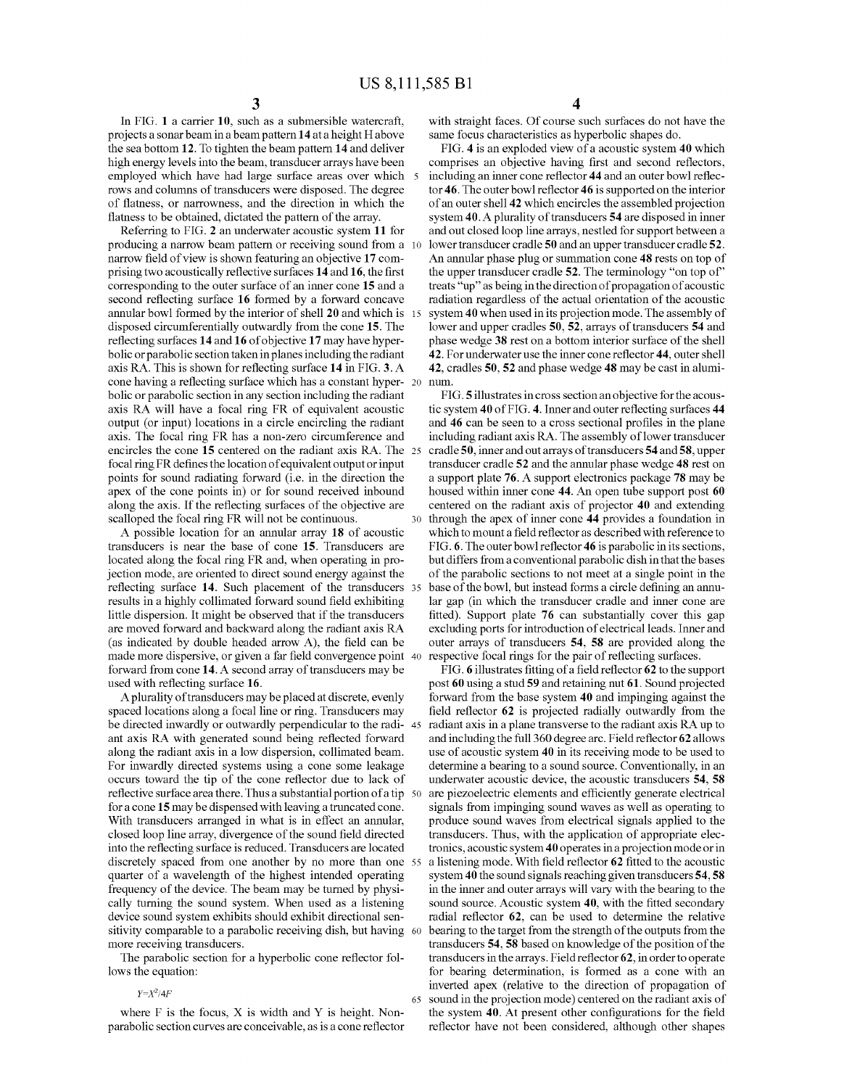15

30

65

In FIG. 1 a carrier 10, such as a submersible watercraft, projects a Sonar beam in a beam pattern 14 at a height Habove the sea bottom 12. To tighten the beam pattern 14 and deliver high energy levels into the beam, transducer arrays have been employed which have had large Surface areas over which 5 rows and columns of transducers were disposed. The degree of flatness, or narrowness, and the direction in which the

Referring to FIG. 2 an underwater acoustic system 11 for producing a narrow beam pattern or receiving Sound from a 10 narrow field of view is shown featuring an objective 17 com prising two acoustically reflective surfaces 14 and 16, the first corresponding to the outer surface of an inner cone 15 and a second reflecting surface 16 formed by a forward concave annular bowl formed by the interior of shell 20 and which is disposed circumferentially outwardly from the cone 15. The reflecting surfaces 14 and 16 of objective 17 may have hyper bolic or parabolic section taken in planes including the radiant axis RA. This is shown for reflecting surface 14 in FIG. 3. A cone having a reflecting surface which has a constant hyper- 20 bolic or parabolic section in any section including the radiant axis RA will have a focal ring FR of equivalent acoustic output (or input) locations in a circle encircling the radiant axis. The focal ring FR has a non-Zero circumference and encircles the cone 15 centered on the radiant axis RA. The 25 focal ring FR defines the location of equivalent output or input points for sound radiating forward (i.e. in the direction the apex of the cone points in) or for Sound received inbound along the axis. If the reflecting surfaces of the objective are scalloped the focal ring FR will not be continuous.

A possible location for an annular array 18 of acoustic transducers is near the base of cone 15. Transducers are located along the focal ring FR and, when operating in pro jection mode, are oriented to direct sound energy against the reflecting surface 14. Such placement of the transducers 35 results in a highly collimated forward sound field exhibiting little dispersion. It might be observed that if the transducers are moved forward and backward along the radiant axis RA (as indicated by double headed arrow A), the field can be made more dispersive, or given a far field convergence point 40 forward from cone 14. A second array of transducers may be used with reflecting surface 16.

A plurality of transducers may be placed at discrete, evenly spaced locations along a focal line or ring. Transducers may<br>be directed inwardly or outwardly perpendicular to the radi-45 ant axis RA with generated sound being reflected forward along the radiant axis in a low dispersion, collimated beam. For inwardly directed systems using a cone some leakage occurs toward the tip of the cone reflector due to lack of for a cone 15 may be dispensed with leaving a truncated cone. With transducers arranged in what is in effect an annular, closed loop line array, divergence of the sound field directed into the reflecting Surface is reduced. Transducers are located discretely spaced from one another by no more than one 55 quarter of a wavelength of the highest intended operating frequency of the device. The beam may be turned by physi cally turning the sound system. When used as a listening device sound system exhibits should exhibit directional sen sitivity comparable to a parabolic receiving dish, but having 60 more receiving transducers. reflective surface area there. Thus a substantial portion of a tip 50

The parabolic section for a hyperbolic cone reflector fol lows the equation:

#### $Y = X^2/4F$

where F is the focus, X is width and Y is height. Non parabolic section curves are conceivable, as is a cone reflector with straight faces. Of course such surfaces do not have the same focus characteristics as hyperbolic shapes do.

FIG. 4 is an exploded view of a acoustic system 40 which comprises an objective having first and second reflectors, including an inner cone reflector 44 and an outer bowl reflec tor 46. The outer bowl reflector 46 is supported on the interior of an outer shell 42 which encircles the assembled projection system 40. A plurality of transducers 54 are disposed in inner and out closed loop line arrays, nestled for Support between a lower transducer cradle 50 and an upper transducer cradle 52. An annular phase plug or summation cone 48 rests on top of the upper transducer cradle 52. The terminology "on top of" treats 'up' as being in the direction of propagation of acoustic radiation regardless of the actual orientation of the acoustic system 40 when used in its projection mode. The assembly of lower and upper cradles 50, 52, arrays of transducers 54 and phase wedge 38 rest on a bottom interior surface of the shell 42. For underwater use the inner cone reflector 44, outer shell 42, cradles 50, 52 and phase wedge 48 may be cast in aluminum.

FIG.5 illustrates in cross section an objective for the acous tic system 40 of FIG. 4. Inner and outer reflecting surfaces 44 and 46 can be seen to a cross sectional profiles in the plane including radiant axis RA. The assembly of lower transducer cradle 50, inner and out arrays of transducers 54 and 58, upper transducer cradle 52 and the annular phase wedge 48 rest on a support plate 76. A support electronics package 78 may be housed within inner cone 44. An open tube support post 60 centered on the radiant axis of projector 40 and extending through the apex of inner cone 44 provides a foundation in which to mount a field reflector as described with reference to FIG. 6. The outer bowl reflector 46 is parabolic in its sections, but differs from a conventional parabolic dish in that the bases of the parabolic sections to not meet at a single point in the base of the bowl, but instead forms a circle defining an annu lar gap (in which the transducer cradle and inner cone are fitted). Support plate 76 can substantially cover this gap excluding ports for introduction of electrical leads. Inner and outer arrays of transducers 54, 58 are provided along the respective focal rings for the pair of reflecting surfaces.

FIG. 6 illustrates fitting of a field reflector 62 to the support post 60 using a stud 59 and retaining nut 61. Sound projected forward from the base system 40 and impinging against the field reflector 62 is projected radially outwardly from the radiant axis in a plane transverse to the radiant axis RA up to and including the full 360 degree arc. Field reflector 62 allows use of acoustic system 40 in its receiving mode to be used to determine a bearing to a sound source. Conventionally, in an underwater acoustic device, the acoustic transducers 54, 58 are piezoelectric elements and efficiently generate electrical signals from impinging sound waves as well as operating to produce Sound waves from electrical signals applied to the transducers. Thus, with the application of appropriate elec tronics, acoustic system 40 operates in a projection mode or in a listening mode. With field reflector 62 fitted to the acoustic system 40 the sound signals reaching given transducers 54, 58 in the inner and outer arrays will vary with the bearing to the sound source. Acoustic system 40, with the fitted secondary radial reflector 62, can be used to determine the relative bearing to the target from the strength of the outputs from the transducers 54, 58 based on knowledge of the position of the transducers in the arrays. Field reflector 62, in order to operate for bearing determination, is formed as a cone with an inverted apex (relative to the direction of propagation of sound in the projection mode) centered on the radiant axis of the system 40. At present other configurations for the field reflector have not been considered, although other shapes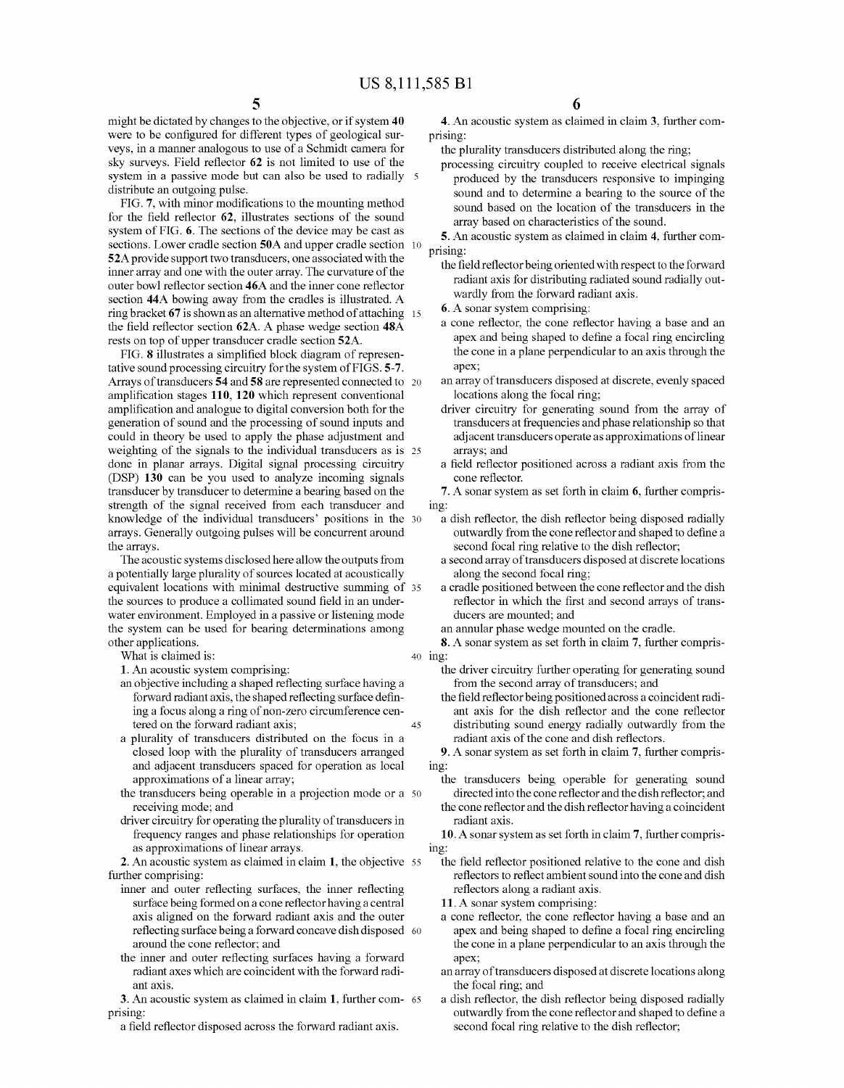might be dictated by changes to the objective, or if system 40 were to be configured for different types of geological sur-Veys, in a manner analogous to use of a Schmidt camera for sky surveys. Field reflector 62 is not limited to use of the system in a passive mode but can also be used to radially 5 distribute an outgoing pulse.

FIG. 7, with minor modifications to the mounting method for the field reflector 62, illustrates sections of the sound system of FIG. 6. The sections of the device may be cast as sections. Lower cradle section 50A and upper cradle section 52A provide support two transducers, one associated with the inner array and one with the outer array. The curvature of the outer bowl reflector section 46A and the inner cone reflector section 44A bowing away from the cradles is illustrated. A ring bracket 67 is shown as an alternative method of attaching 15 the field reflector section 62A. A phase wedge section 48A rests on top of upper transducer cradle section 52A.<br>FIG. 8 illustrates a simplified block diagram of represen-10

tative sound processing circuitry for the system of FIGS. 5-7. Arrays of transducers 54 and 58 are represented connected to 20 amplification stages 110, 120 which represent conventional amplification and analogue to digital conversion both for the generation of Sound and the processing of Sound inputs and could in theory be used to apply the phase adjustment and weighting of the signals to the individual transducers as is 25 done in planar arrays. Digital signal processing circuitry (DSP) 130 can be you used to analyze incoming signals transducer by transducer to determine a bearing based on the strength of the signal received from each transducer and knowledge of the individual transducers' positions in the 30 arrays. Generally outgoing pulses will be concurrent around the arrays.

The acoustic systems disclosed here allow the outputs from a potentially large plurality of sources located at acoustically equivalent locations with minimal destructive Summing of 35 the sources to produce a collimated sound field in an underwater environment. Employed in a passive or listening mode the system can be used for bearing determinations among other applications.

What is claimed is:

1. An acoustic system comprising:

- an objective including a shaped reflecting surface having a forward radiant axis, the shaped reflecting surface defining a focus along a ring of non-zero circumference cen tered on the forward radiant axis; 45
- a plurality of transducers distributed on the focus in a closed loop with the plurality of transducers arranged and adjacent transducers spaced for operation as local approximations of a linear array;
- the transducers being operable in a projection mode or a 50 receiving mode; and
- driver circuitry for operating the plurality of transducers in frequency ranges and phase relationships for operation as approximations of linear arrays.

2. An acoustic system as claimed in claim 1, the objective 55 further comprising:

- inner and outer reflecting surfaces, the inner reflecting surface being formed on a cone reflector having a central axis aligned on the forward radiant axis and the outer reflecting Surface being a forward concave dish disposed 60 around the cone reflector; and
- the inner and outer reflecting surfaces having a forward radiant axes which are coincident with the forward radi ant axis.

3. An acoustic system as claimed in claim 1, further com- 65 prising:

a field reflector disposed across the forward radiant axis.

6

4. An acoustic system as claimed in claim 3, further com prising:

the plurality transducers distributed along the ring;

processing circuitry coupled to receive electrical signals produced by the transducers responsive to impinging sound and to determine a bearing to the source of the sound based on the location of the transducers in the array based on characteristics of the sound.

5. An acoustic system as claimed in claim 4, further com prising:

- the field reflector being oriented with respect to the forward radiant axis for distributing radiated sound radially outwardly from the forward radiant axis.
- 6. A Sonar system comprising:
- a cone reflector, the cone reflector having a base and an apex and being shaped to define a focal ring encircling the cone in a plane perpendicular to an axis through the apex;
- an array of transducers disposed at discrete, evenly spaced locations along the focal ring;
- driver circuitry for generating sound from the array of transducers at frequencies and phase relationship so that adjacent transducers operate as approximations of linear arrays; and
- a field reflector positioned across a radiant axis from the cone reflector.

7. A sonar system as set forth in claim 6, further compris ing:

- a dish reflector, the dish reflector being disposed radially outwardly from the cone reflector and shaped to define a second focal ring relative to the dish reflector;
- a second array of transducers disposed at discrete locations along the second focal ring;
- a cradle positioned between the cone reflector and the dish reflector in which the first and second arrays of trans ducers are mounted; and

an annular phase wedge mounted on the cradle.

- 40 ing: 8. A sonar system as set forth in claim 7, further compris
	- the driver circuitry further operating for generating sound from the second array of transducers; and
	- the field reflector being positioned across a coincident radi ant axis for the dish reflector and the cone reflector distributing sound energy radially outwardly from the radiant axis of the cone and dish reflectors.

9. A sonar system as set forth in claim 7, further compris ing:

- the transducers being operable for generating sound directed into the cone reflector and the dish reflector; and
- the cone reflector and the dish reflector having a coincident radiant axis.

10. A sonar system as set forth in claim 7, further compris ing:

- the field reflector positioned relative to the cone and dish reflectors to reflect ambient sound into the cone and dish reflectors along a radiant axis.
- 11. A Sonar system comprising:
- a cone reflector, the cone reflector having a base and an apex and being shaped to define a focal ring encircling the cone in a plane perpendicular to an axis through the apex;
- an array of transducers disposed at discrete locations along the focal ring; and
- a dish reflector, the dish reflector being disposed radially outwardly from the cone reflector and shaped to define a second focal ring relative to the dish reflector;